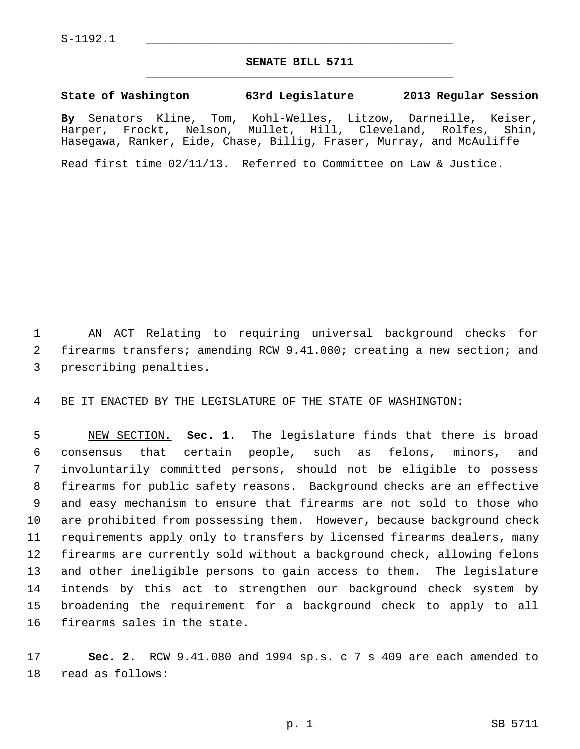## **SENATE BILL 5711** \_\_\_\_\_\_\_\_\_\_\_\_\_\_\_\_\_\_\_\_\_\_\_\_\_\_\_\_\_\_\_\_\_\_\_\_\_\_\_\_\_\_\_\_\_

## **State of Washington 63rd Legislature 2013 Regular Session**

**By** Senators Kline, Tom, Kohl-Welles, Litzow, Darneille, Keiser, Harper, Frockt, Nelson, Mullet, Hill, Cleveland, Rolfes, Shin, Hasegawa, Ranker, Eide, Chase, Billig, Fraser, Murray, and McAuliffe

Read first time 02/11/13. Referred to Committee on Law & Justice.

 1 AN ACT Relating to requiring universal background checks for 2 firearms transfers; amending RCW 9.41.080; creating a new section; and 3 prescribing penalties.

4 BE IT ENACTED BY THE LEGISLATURE OF THE STATE OF WASHINGTON:

 5 NEW SECTION. **Sec. 1.** The legislature finds that there is broad 6 consensus that certain people, such as felons, minors, and 7 involuntarily committed persons, should not be eligible to possess 8 firearms for public safety reasons. Background checks are an effective 9 and easy mechanism to ensure that firearms are not sold to those who 10 are prohibited from possessing them. However, because background check 11 requirements apply only to transfers by licensed firearms dealers, many 12 firearms are currently sold without a background check, allowing felons 13 and other ineligible persons to gain access to them. The legislature 14 intends by this act to strengthen our background check system by 15 broadening the requirement for a background check to apply to all 16 firearms sales in the state.

17 **Sec. 2.** RCW 9.41.080 and 1994 sp.s. c 7 s 409 are each amended to 18 read as follows: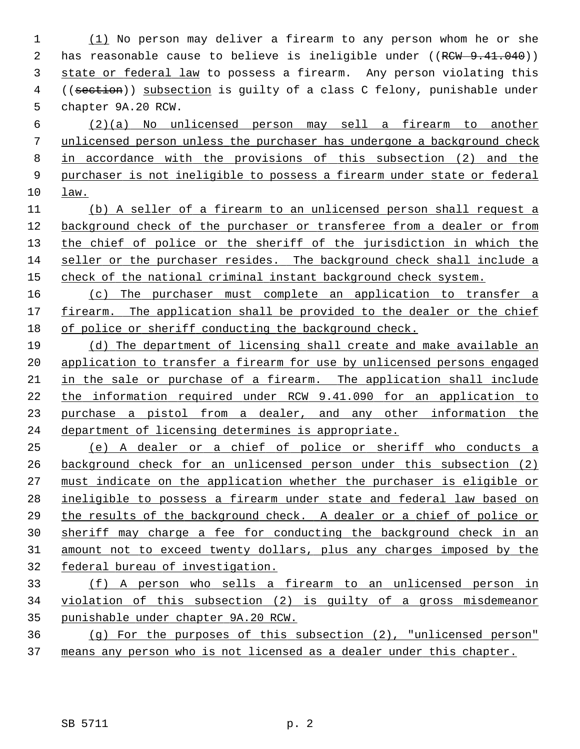(1) No person may deliver a firearm to any person whom he or she 2 has reasonable cause to believe is ineligible under ((RCW 9.41.040)) state or federal law to possess a firearm. Any person violating this 4 ((section)) subsection is guilty of a class C felony, punishable under 5 chapter 9A.20 RCW.

 (2)(a) No unlicensed person may sell a firearm to another unlicensed person unless the purchaser has undergone a background check in accordance with the provisions of this subsection (2) and the purchaser is not ineligible to possess a firearm under state or federal law.

 (b) A seller of a firearm to an unlicensed person shall request a background check of the purchaser or transferee from a dealer or from the chief of police or the sheriff of the jurisdiction in which the seller or the purchaser resides. The background check shall include a check of the national criminal instant background check system.

 (c) The purchaser must complete an application to transfer a firearm. The application shall be provided to the dealer or the chief of police or sheriff conducting the background check.

 (d) The department of licensing shall create and make available an application to transfer a firearm for use by unlicensed persons engaged 21 in the sale or purchase of a firearm. The application shall include 22 the information required under RCW 9.41.090 for an application to purchase a pistol from a dealer, and any other information the department of licensing determines is appropriate.

 (e) A dealer or a chief of police or sheriff who conducts a background check for an unlicensed person under this subsection (2) must indicate on the application whether the purchaser is eligible or ineligible to possess a firearm under state and federal law based on the results of the background check. A dealer or a chief of police or sheriff may charge a fee for conducting the background check in an amount not to exceed twenty dollars, plus any charges imposed by the federal bureau of investigation.

 (f) A person who sells a firearm to an unlicensed person in violation of this subsection (2) is guilty of a gross misdemeanor punishable under chapter 9A.20 RCW.

 (g) For the purposes of this subsection (2), "unlicensed person" means any person who is not licensed as a dealer under this chapter.